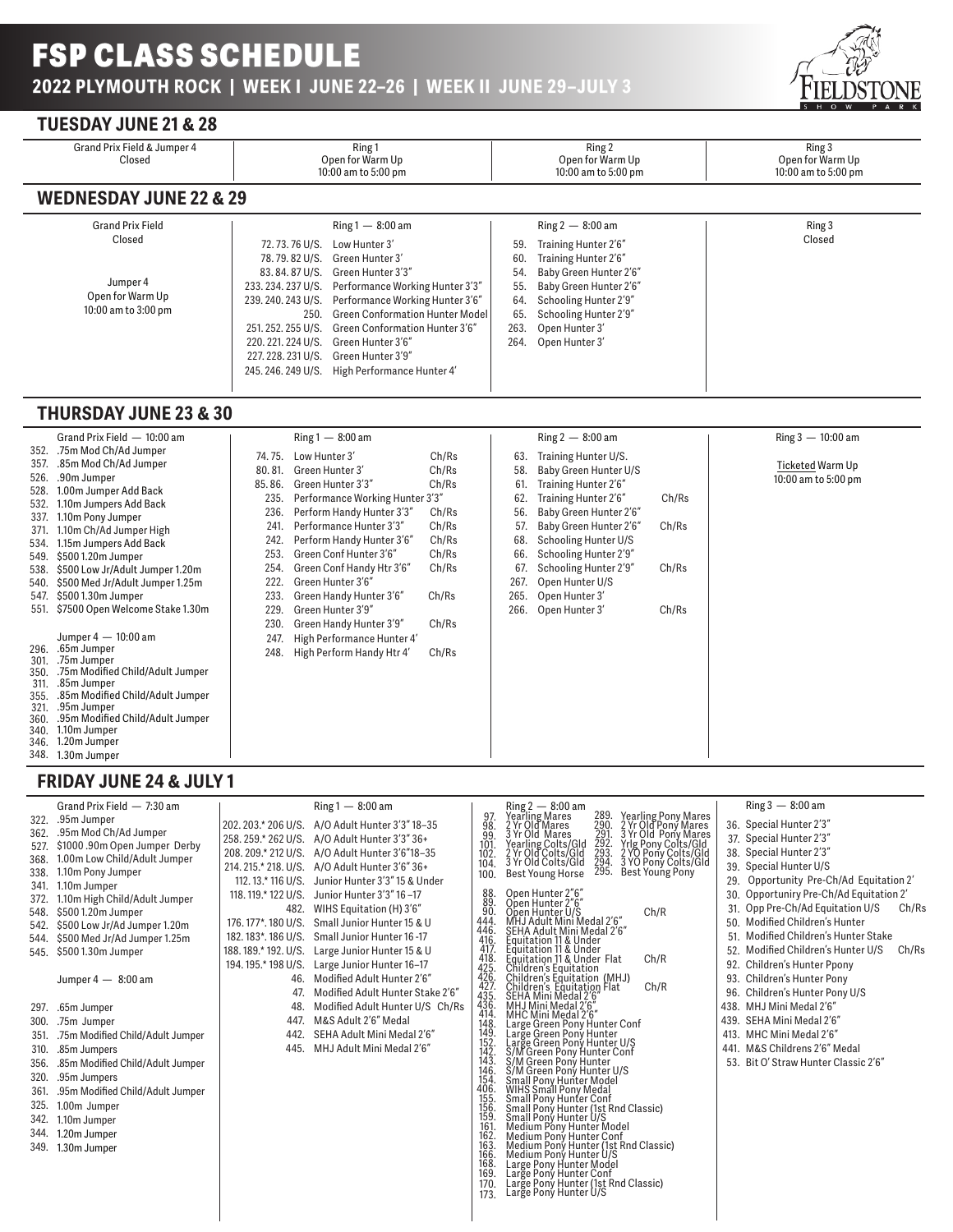

## **TUESDAY JUNE 21 & 28**

| Grand Prix Field & Jumper 4<br>Closed                         | Ring 1<br>Open for Warm Up<br>10:00 am to 5:00 pm                                                                                                                       |                                                                                                                                                                                                                                                                                                    |                                                        | Ring 2<br>Open for Warm Up<br>10:00 am to 5:00 pm                                                                                                                                      | Ring 3<br>Open for Warm Up<br>10:00 am to 5:00 pm |
|---------------------------------------------------------------|-------------------------------------------------------------------------------------------------------------------------------------------------------------------------|----------------------------------------------------------------------------------------------------------------------------------------------------------------------------------------------------------------------------------------------------------------------------------------------------|--------------------------------------------------------|----------------------------------------------------------------------------------------------------------------------------------------------------------------------------------------|---------------------------------------------------|
| <b>WEDNESDAY JUNE 22 &amp; 29</b>                             |                                                                                                                                                                         |                                                                                                                                                                                                                                                                                                    |                                                        |                                                                                                                                                                                        |                                                   |
| <b>Grand Prix Field</b>                                       |                                                                                                                                                                         | $Ring 1 - 8:00$ am                                                                                                                                                                                                                                                                                 |                                                        | Ring $2 - 8:00$ am                                                                                                                                                                     | Ring 3                                            |
| Closed<br>Jumper 4<br>Open for Warm Up<br>10:00 am to 3:00 pm | 72, 73, 76 U/S.<br>78, 79, 82 U/S.<br>83, 84, 87 U/S.<br>233.234.237 U/S.<br>239, 240, 243 U/S.<br>250.<br>251, 252, 255 U/S.<br>220, 221, 224 U/S.<br>245.246.249 U/S. | Low Hunter 3'<br>Green Hunter 3'<br>Green Hunter 3'3"<br>Performance Working Hunter 3'3"<br>Performance Working Hunter 3'6"<br><b>Green Conformation Hunter Model</b><br>Green Conformation Hunter 3'6"<br>Green Hunter 3'6"<br>227, 228, 231 U/S. Green Hunter 3'9"<br>High Performance Hunter 4' | 59.<br>60.<br>54.<br>55.<br>64.<br>65.<br>263.<br>264. | Training Hunter 2'6"<br>Training Hunter 2'6"<br>Baby Green Hunter 2'6"<br>Baby Green Hunter 2'6"<br>Schooling Hunter 2'9"<br>Schooling Hunter 2'9"<br>Open Hunter 3'<br>Open Hunter 3' | Closed                                            |

## **THURSDAY JUNE 23 & 30**

|              | Grand Prix Field – 10:00 am                     |              | $Ring 1 - 8:00$ am                                      |       |      | $Ring 2 - 8:00$ am     |       | Ring $3 - 10:00$ am |
|--------------|-------------------------------------------------|--------------|---------------------------------------------------------|-------|------|------------------------|-------|---------------------|
| 352.         | .75m Mod Ch/Ad Jumper                           | 74.75.       | Low Hunter 3'                                           | Ch/Rs | 63.  | Training Hunter U/S.   |       |                     |
| 357.<br>526. | .85m Mod Ch/Ad Jumper<br>.90m Jumper            | 80.81.       | Green Hunter 3'                                         | Ch/Rs | 58.  | Baby Green Hunter U/S  |       | Ticketed Warm Up    |
| 528.         | 1.00m Jumper Add Back                           | 85.86.       | Green Hunter 3'3"                                       | Ch/Rs | 61.  | Training Hunter 2'6"   |       | 10:00 am to 5:00 pm |
| 532.         | 1.10m Jumpers Add Back                          | 235.         | Performance Working Hunter 3'3"                         |       | 62.  | Training Hunter 2'6"   | Ch/Rs |                     |
| 337.         | 1.10m Pony Jumper                               | 236.         | Perform Handy Hunter 3'3"                               | Ch/Rs | 56.  | Baby Green Hunter 2'6" |       |                     |
| 371.         | 1.10m Ch/Ad Jumper High                         | 241.         | Performance Hunter 3'3"                                 | Ch/Rs | 57.  | Baby Green Hunter 2'6" | Ch/Rs |                     |
| 534.         | 1.15m Jumpers Add Back                          | 242.         | Perform Handy Hunter 3'6"                               | Ch/Rs | 68.  | Schooling Hunter U/S   |       |                     |
| 549.         | \$5001.20m Jumper                               | 253.         | Green Conf Hunter 3'6"                                  | Ch/Rs | 66.  | Schooling Hunter 2'9"  |       |                     |
| 538.         | \$500 Low Jr/Adult Jumper 1.20m                 | 254.         | Green Conf Handy Htr 3'6"                               | Ch/Rs | 67.  | Schooling Hunter 2'9"  | Ch/Rs |                     |
| 540.         | \$500 Med Jr/Adult Jumper 1.25m                 | 222.         | Green Hunter 3'6"                                       |       | 267. | Open Hunter U/S        |       |                     |
| 547.         | \$5001.30m Jumper                               | 233.         | Green Handy Hunter 3'6"                                 | Ch/Rs | 265. | Open Hunter 3'         |       |                     |
| 551.         | \$7500 Open Welcome Stake 1.30m                 | 229.         | Green Hunter 3'9"                                       |       | 266. | Open Hunter 3'         | Ch/Rs |                     |
|              | Jumper $4-10:00$ am                             | 230.         | Green Handy Hunter 3'9"                                 | Ch/Rs |      |                        |       |                     |
| 296.         | .65m Jumper                                     | 247.<br>248. | High Performance Hunter 4'<br>High Perform Handy Htr 4' | Ch/Rs |      |                        |       |                     |
| 301.         | .75m Jumper                                     |              |                                                         |       |      |                        |       |                     |
| 350.         | .75m Modified Child/Adult Jumper                |              |                                                         |       |      |                        |       |                     |
| 311.<br>355. | .85m Jumper<br>.85m Modified Child/Adult Jumper |              |                                                         |       |      |                        |       |                     |
| 321.         | .95m Jumper                                     |              |                                                         |       |      |                        |       |                     |
| 360.         | .95m Modified Child/Adult Jumper                |              |                                                         |       |      |                        |       |                     |
| 340.         | 1.10m Jumper                                    |              |                                                         |       |      |                        |       |                     |
| 346.         | 1.20m Jumper                                    |              |                                                         |       |      |                        |       |                     |
| 348.         | 1.30m Jumper                                    |              |                                                         |       |      |                        |       |                     |

## **FRIDAY JUNE 24 & JULY 1**

| 322.<br>362.<br>527.<br>368.<br>338.<br>341.<br>372.<br>548.<br>542.<br>544.<br>545.<br>297.<br>300.<br>351.<br>310.<br>356.<br>320.<br>361.<br>325.<br>342.<br>344.<br>349. | Grand Prix Field - 7:30 am<br>.95m Jumper<br>.95m Mod Ch/Ad Jumper<br>\$1000.90m Open Jumper Derby<br>1.00m Low Child/Adult Jumper<br>1.10m Pony Jumper<br>1.10m Jumper<br>1.10m High Child/Adult Jumper<br>\$5001.20m Jumper<br>\$500 Low Jr/Ad Jumper 1.20m<br>\$500 Med Jr/Ad Jumper 1.25m<br>\$5001.30m Jumper<br>Jumper $4 - 8:00$ am<br>.65m Jumper<br>.75m Jumper<br>.75m Modified Child/Adult Jumper<br>.85m Jumpers<br>.85m Modified Child/Adult Jumper<br>.95m Jumpers<br>.95m Modified Child/Adult Jumper<br>1.00m Jumper<br>1.10m Jumper<br>1.20m Jumper<br>1.30m Jumper | 202.203.* 206 U/S.<br>258.259.*262 U/S.<br>208, 209.* 212 U/S.<br>112, 13,* 116 U/S.<br>118, 119,* 122 U/S.<br>482.<br>176, 177*, 180 U/S.<br>182.183*.186 U/S.<br>188.189.*192.U/S.<br>194.195.*198 U/S.<br>46.<br>47.<br>48.<br>447.<br>442.<br>445. | $Ring 1 - 8:00$ am<br>A/O Adult Hunter 3'3" 18-35<br>A/O Adult Hunter 3'3" 36+<br>A/O Adult Hunter 3'6"18-35<br>214. 215.* 218. U/S. A/O Adult Hunter 3'6" 36+<br>Junior Hunter 3'3" 15 & Under<br>Junior Hunter 3'3" 16-17<br>WIHS Equitation (H) 3'6"<br>Small Junior Hunter 15 & U<br>Small Junior Hunter 16-17<br>Large Junior Hunter 15 & U<br>Large Junior Hunter 16-17<br>Modified Adult Hunter 2'6"<br>Modified Adult Hunter Stake 2'6"<br>Modified Adult Hunter U/S Ch/Rs<br>M&S Adult 2'6" Medal<br>SEHA Adult Mini Medal 2'6"<br>MHJ Adult Mini Medal 2'6' | 97.<br>98.<br>99.<br>101<br>102<br>104.<br>100.<br>88.<br>89.<br>90.<br>444.<br>446.<br>416.<br>417<br>418.<br>425.<br>426.<br>427<br>435<br>436.414<br>148.<br>149.<br>152.<br>142.<br>143.<br>146.<br>154.<br>406.<br>155.<br>156<br>159.<br>161.<br>162.<br>163.<br>166.<br>168.<br>169.<br>170. | Ring 2 — 8:00 am<br>Yearling Mares<br>2 Yr Old Mares<br>289.<br><b>Yearling Pony Mares</b><br>2 Yr Old Pony Mares<br>3 Yr Old Pony Mares<br>Yrlg Pony Colts/Gld<br>290.<br>$\frac{291}{292}$ .<br>3 Yr Old Mares<br>Yearling Colts/Gld<br>2 Yr Old Colts/Gld<br>3 Yr Old Colts/Gld<br>293.<br>294.<br>2 YO Pony Colts/Gld<br>3 YO Pony Colts/Gld<br><b>Best Young Pony</b><br>295.<br><b>Best Young Horse</b><br>Open Hunter 2"6"<br>Open Hunter 2"6"<br>Ch/R<br>Open Hunter U/S<br>MHJ Adult Mini Medal 2'6"<br>SEHA Adult Mini Medal 2'6"<br>Equitation 11 & Under<br>Equitation 11 & Under<br>Equitation 11 & Under<br>Equitation 11 & Under Flat<br>Children's Equitation (MHJ)<br>Children's Equitation (MHJ)<br>Children's Equitation Flat<br>SEHA Mini Medal 2'6"<br>MHJ Mini Medal 2'6"<br>Large Green Pony Hunter Con<br>Ch/R<br>Ch/R<br>Wind Shini Point Wield<br>Small Pony Hunter (1st Rnd Classic)<br>Small Pony Hunter (1st Rnd Classic)<br>Medium Pony Hunter Model<br>Medium Pony Hunter Conf<br>Medium Pony Hunter Conf<br>Medium Pony Hunter (1st Rnd Classic)<br>Medium Pony Hunter (1st Rnd Classic)<br>Large Pony Hunter Model<br>Large Pony Hunter Conf<br>Large Pony Hunter (1st Rnd Classic)<br>Large Pony Hunter (1st Rnd Classic) | 29.<br>30.<br>51.<br>52.<br>92.<br>93.<br>96.<br>439. | $Ring 3 - 8:00$ am<br>36. Special Hunter 2'3"<br>37. Special Hunter 2'3"<br>38. Special Hunter 2'3"<br>39. Special Hunter U/S<br>Opportunity Pre-Ch/Ad Equitation 2'<br>Opportuniry Pre-Ch/Ad Equitation 2'<br>31. Opp Pre-Ch/Ad Equitation U/S<br>Ch/Rs<br>50. Modified Children's Hunter<br>Modified Children's Hunter Stake<br>Modified Children's Hunter U/S<br>Ch/Rs<br>Children's Hunter Ppony<br>Children's Hunter Pony<br>Children's Hunter Pony U/S<br>438. MHJ Mini Medal 2'6"<br>SEHA Mini Medal 2'6'<br>413. MHC Mini Medal 2'6"<br>441. M&S Childrens 2'6" Medal<br>53. Bit O' Straw Hunter Classic 2'6" |
|------------------------------------------------------------------------------------------------------------------------------------------------------------------------------|--------------------------------------------------------------------------------------------------------------------------------------------------------------------------------------------------------------------------------------------------------------------------------------------------------------------------------------------------------------------------------------------------------------------------------------------------------------------------------------------------------------------------------------------------------------------------------------|--------------------------------------------------------------------------------------------------------------------------------------------------------------------------------------------------------------------------------------------------------|-----------------------------------------------------------------------------------------------------------------------------------------------------------------------------------------------------------------------------------------------------------------------------------------------------------------------------------------------------------------------------------------------------------------------------------------------------------------------------------------------------------------------------------------------------------------------|-----------------------------------------------------------------------------------------------------------------------------------------------------------------------------------------------------------------------------------------------------------------------------------------------------|-------------------------------------------------------------------------------------------------------------------------------------------------------------------------------------------------------------------------------------------------------------------------------------------------------------------------------------------------------------------------------------------------------------------------------------------------------------------------------------------------------------------------------------------------------------------------------------------------------------------------------------------------------------------------------------------------------------------------------------------------------------------------------------------------------------------------------------------------------------------------------------------------------------------------------------------------------------------------------------------------------------------------------------------------------------------------------------------------------------------------------------------------------------------------------------------------------------------------------------------------------------|-------------------------------------------------------|-----------------------------------------------------------------------------------------------------------------------------------------------------------------------------------------------------------------------------------------------------------------------------------------------------------------------------------------------------------------------------------------------------------------------------------------------------------------------------------------------------------------------------------------------------------------------------------------------------------------------|
|                                                                                                                                                                              |                                                                                                                                                                                                                                                                                                                                                                                                                                                                                                                                                                                      |                                                                                                                                                                                                                                                        |                                                                                                                                                                                                                                                                                                                                                                                                                                                                                                                                                                       | 173.                                                                                                                                                                                                                                                                                                |                                                                                                                                                                                                                                                                                                                                                                                                                                                                                                                                                                                                                                                                                                                                                                                                                                                                                                                                                                                                                                                                                                                                                                                                                                                             |                                                       |                                                                                                                                                                                                                                                                                                                                                                                                                                                                                                                                                                                                                       |
|                                                                                                                                                                              |                                                                                                                                                                                                                                                                                                                                                                                                                                                                                                                                                                                      |                                                                                                                                                                                                                                                        |                                                                                                                                                                                                                                                                                                                                                                                                                                                                                                                                                                       |                                                                                                                                                                                                                                                                                                     |                                                                                                                                                                                                                                                                                                                                                                                                                                                                                                                                                                                                                                                                                                                                                                                                                                                                                                                                                                                                                                                                                                                                                                                                                                                             |                                                       |                                                                                                                                                                                                                                                                                                                                                                                                                                                                                                                                                                                                                       |